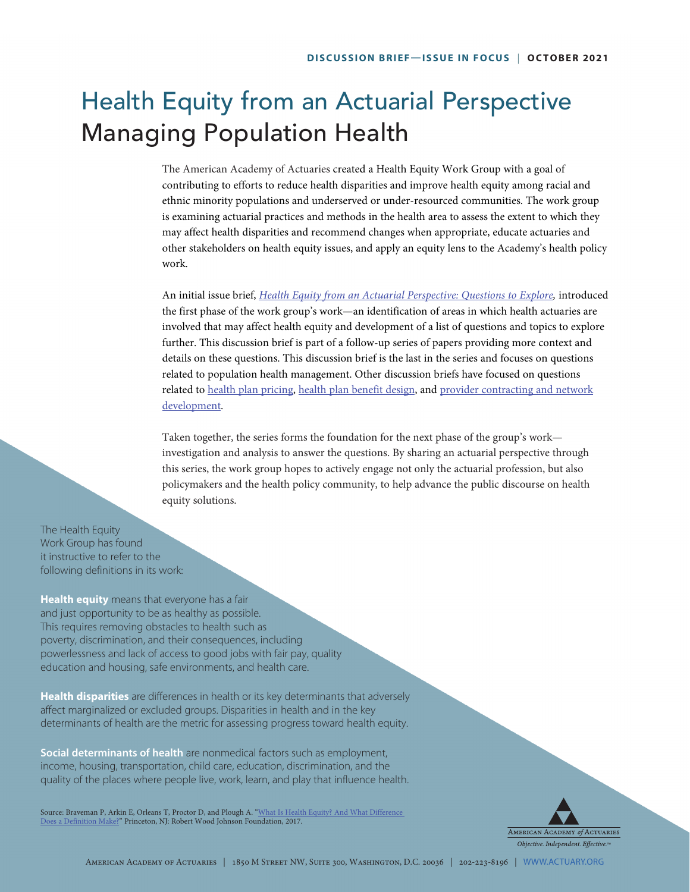# Health Equity from an Actuarial Perspective Managing Population Health

The American Academy of Actuaries created a Health Equity Work Group with a goal of contributing to efforts to reduce health disparities and improve health equity among racial and ethnic minority populations and underserved or under-resourced communities. The work group is examining actuarial practices and methods in the health area to assess the extent to which they may affect health disparities and recommend changes when appropriate, educate actuaries and other stakeholders on health equity issues, and apply an equity lens to the Academy's health policy work.

An initial issue brief, *[Health Equity from an Actuarial Perspective: Questions to Explore](https://www.actuary.org/sites/default/files/2021-03/Health_Equity_Discussion_Brief_3.21.pdf),* introduced the first phase of the work group's work—an identification of areas in which health actuaries are involved that may affect health equity and development of a list of questions and topics to explore further. This discussion brief is part of a follow-up series of papers providing more context and details on these questions. This discussion brief is the last in the series and focuses on questions related to population health management. Other discussion briefs have focused on questions related to [health plan pricing](https://www.actuary.org/sites/default/files/2021-05/Health_Equity_Pricing_Discussion_Brief_05.2021.pdf), [health plan benefit design](https://www.actuary.org/sites/default/files/2021-07/Health_Equity_Benefit_Design_Discussion_Brief_07.2021.pdf), and [provider contracting and network](https://www.actuary.org/sites/default/files/2021-09/Health_Equity_Provider_Contract_Network_Develop_09.2021.pdf) [development](https://www.actuary.org/sites/default/files/2021-09/Health_Equity_Provider_Contract_Network_Develop_09.2021.pdf).

Taken together, the series forms the foundation for the next phase of the group's work investigation and analysis to answer the questions. By sharing an actuarial perspective through this series, the work group hopes to actively engage not only the actuarial profession, but also policymakers and the health policy community, to help advance the public discourse on health equity solutions.

The Health Equity Work Group has found it instructive to refer to the following definitions in its work:

**Health equity** means that everyone has a fair and just opportunity to be as healthy as possible. This requires removing obstacles to health such as poverty, discrimination, and their consequences, including powerlessness and lack of access to good jobs with fair pay, quality education and housing, safe environments, and health care.

**Health disparities** are differences in health or its key determinants that adversely affect marginalized or excluded groups. Disparities in health and in the key determinants of health are the metric for assessing progress toward health equity.

**Social determinants of health** are nonmedical factors such as employment, income, housing, transportation, child care, education, discrimination, and the quality of the places where people live, work, learn, and play that influence health.

Source: Braveman P, Arkin E, Orleans T, Proctor D, and Plough A. "What Is Health Equity? And What Difference [Does a Definition Make?"](https://www.rwjf.org/en/library/research/2017/05/what-is-health-equity-.html) Princeton, NJ: Robert Wood Johnson Foundation, 2017.

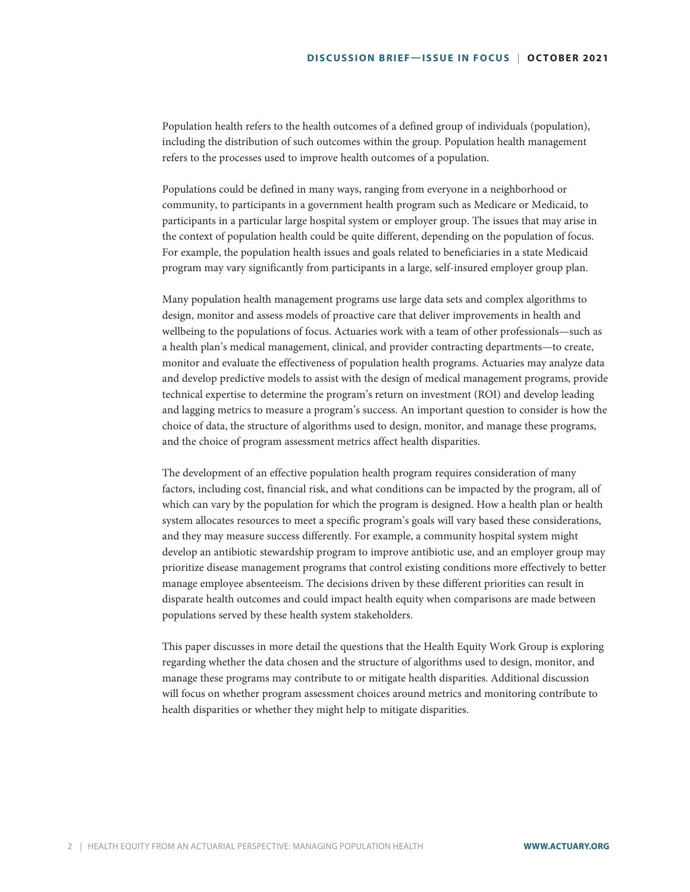Population health refers to the health outcomes of a defined group of individuals (population), including the distribution of such outcomes within the group. Population health management refers to the processes used to improve health outcomes of a population.

Populations could be defined in many ways, ranging from everyone in a neighborhood or community, to participants in a government health program such as Medicare or Medicaid, to participants in a particular large hospital system or employer group. The issues that may arise in the context of population health could be quite different, depending on the population of focus. For example, the population health issues and goals related to beneficiaries in a state Medicaid program may vary significantly from participants in a large, self-insured employer group plan.

Many population health management programs use large data sets and complex algorithms to design, monitor and assess models of proactive care that deliver improvements in health and wellbeing to the populations of focus. Actuaries work with a team of other professionals—such as a health plan's medical management, clinical, and provider contracting departments—to create, monitor and evaluate the effectiveness of population health programs. Actuaries may analyze data and develop predictive models to assist with the design of medical management programs, provide technical expertise to determine the program's return on investment (ROI) and develop leading and lagging metrics to measure a program's success. An important question to consider is how the choice of data, the structure of algorithms used to design, monitor, and manage these programs, and the choice of program assessment metrics affect health disparities.

The development of an effective population health program requires consideration of many factors, including cost, financial risk, and what conditions can be impacted by the program, all of which can vary by the population for which the program is designed. How a health plan or health system allocates resources to meet a specific program's goals will vary based these considerations, and they may measure success differently. For example, a community hospital system might develop an antibiotic stewardship program to improve antibiotic use, and an employer group may prioritize disease management programs that control existing conditions more effectively to better manage employee absenteeism. The decisions driven by these different priorities can result in disparate health outcomes and could impact health equity when comparisons are made between populations served by these health system stakeholders.

This paper discusses in more detail the questions that the Health Equity Work Group is exploring regarding whether the data chosen and the structure of algorithms used to design, monitor, and manage these programs may contribute to or mitigate health disparities. Additional discussion will focus on whether program assessment choices around metrics and monitoring contribute to health disparities or whether they might help to mitigate disparities.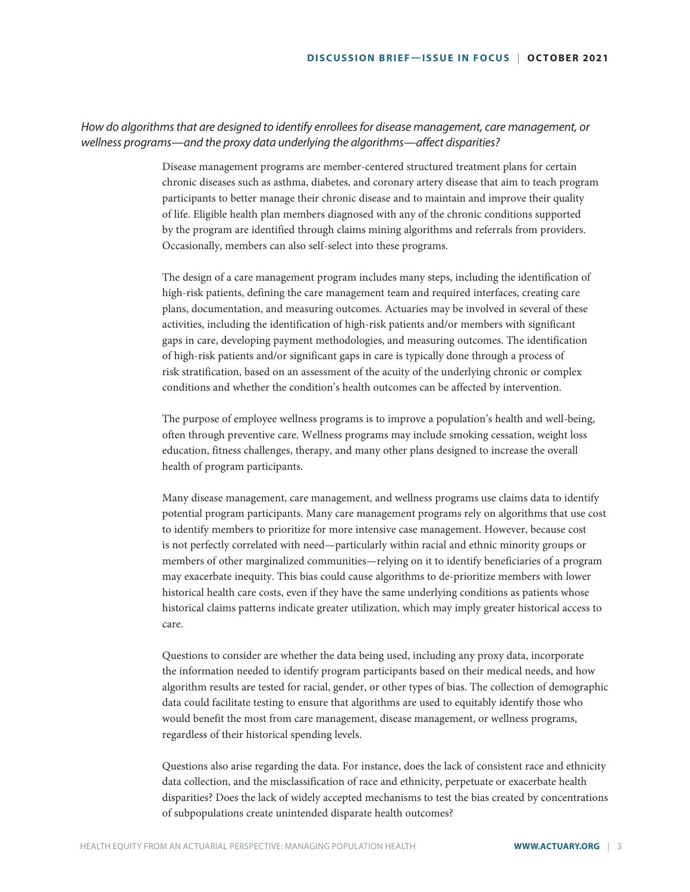## *How do algorithms that are designed to identify enrollees for disease management, care management, or wellness programs—and the proxy data underlying the algorithms—affect disparities?*

Disease management programs are member-centered structured treatment plans for certain chronic diseases such as asthma, diabetes, and coronary artery disease that aim to teach program participants to better manage their chronic disease and to maintain and improve their quality of life. Eligible health plan members diagnosed with any of the chronic conditions supported by the program are identified through claims mining algorithms and referrals from providers. Occasionally, members can also self-select into these programs.

The design of a care management program includes many steps, including the identification of high-risk patients, defining the care management team and required interfaces, creating care plans, documentation, and measuring outcomes. Actuaries may be involved in several of these activities, including the identification of high-risk patients and/or members with significant gaps in care, developing payment methodologies, and measuring outcomes. The identification of high-risk patients and/or significant gaps in care is typically done through a process of risk stratification, based on an assessment of the acuity of the underlying chronic or complex conditions and whether the condition's health outcomes can be affected by intervention.

The purpose of employee wellness programs is to improve a population's health and well-being, often through preventive care. Wellness programs may include smoking cessation, weight loss education, fitness challenges, therapy, and many other plans designed to increase the overall health of program participants.

Many disease management, care management, and wellness programs use claims data to identify potential program participants. Many care management programs rely on algorithms that use cost to identify members to prioritize for more intensive case management. However, because cost is not perfectly correlated with need—particularly within racial and ethnic minority groups or members of other marginalized communities—relying on it to identify beneficiaries of a program may exacerbate inequity. This bias could cause algorithms to de-prioritize members with lower historical health care costs, even if they have the same underlying conditions as patients whose historical claims patterns indicate greater utilization, which may imply greater historical access to care.

Questions to consider are whether the data being used, including any proxy data, incorporate the information needed to identify program participants based on their medical needs, and how algorithm results are tested for racial, gender, or other types of bias. The collection of demographic data could facilitate testing to ensure that algorithms are used to equitably identify those who would benefit the most from care management, disease management, or wellness programs, regardless of their historical spending levels.

Questions also arise regarding the data. For instance, does the lack of consistent race and ethnicity data collection, and the misclassification of race and ethnicity, perpetuate or exacerbate health disparities? Does the lack of widely accepted mechanisms to test the bias created by concentrations of subpopulations create unintended disparate health outcomes?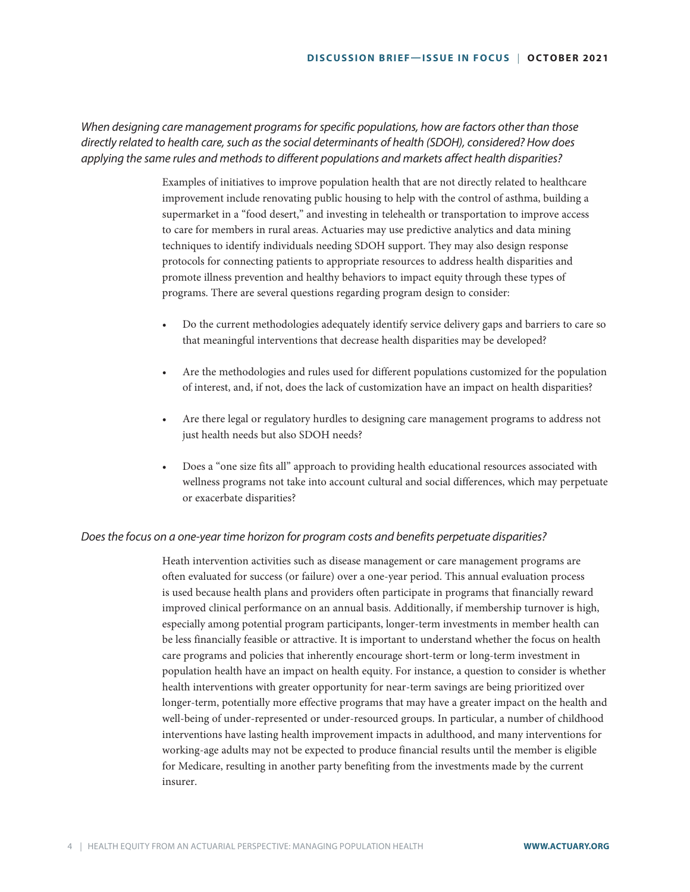*When designing care management programs for specific populations, how are factors other than those directly related to health care, such as the social determinants of health (SDOH), considered? How does applying the same rules and methods to different populations and markets affect health disparities?*

> Examples of initiatives to improve population health that are not directly related to healthcare improvement include renovating public housing to help with the control of asthma, building a supermarket in a "food desert," and investing in telehealth or transportation to improve access to care for members in rural areas. Actuaries may use predictive analytics and data mining techniques to identify individuals needing SDOH support. They may also design response protocols for connecting patients to appropriate resources to address health disparities and promote illness prevention and healthy behaviors to impact equity through these types of programs. There are several questions regarding program design to consider:

- Do the current methodologies adequately identify service delivery gaps and barriers to care so that meaningful interventions that decrease health disparities may be developed?
- Are the methodologies and rules used for different populations customized for the population of interest, and, if not, does the lack of customization have an impact on health disparities?
- Are there legal or regulatory hurdles to designing care management programs to address not just health needs but also SDOH needs?
- Does a "one size fits all" approach to providing health educational resources associated with wellness programs not take into account cultural and social differences, which may perpetuate or exacerbate disparities?

### *Does the focus on a one-year time horizon for program costs and benefits perpetuate disparities?*

Heath intervention activities such as disease management or care management programs are often evaluated for success (or failure) over a one-year period. This annual evaluation process is used because health plans and providers often participate in programs that financially reward improved clinical performance on an annual basis. Additionally, if membership turnover is high, especially among potential program participants, longer-term investments in member health can be less financially feasible or attractive. It is important to understand whether the focus on health care programs and policies that inherently encourage short-term or long-term investment in population health have an impact on health equity. For instance, a question to consider is whether health interventions with greater opportunity for near-term savings are being prioritized over longer-term, potentially more effective programs that may have a greater impact on the health and well-being of under-represented or under-resourced groups. In particular, a number of childhood interventions have lasting health improvement impacts in adulthood, and many interventions for working-age adults may not be expected to produce financial results until the member is eligible for Medicare, resulting in another party benefiting from the investments made by the current insurer.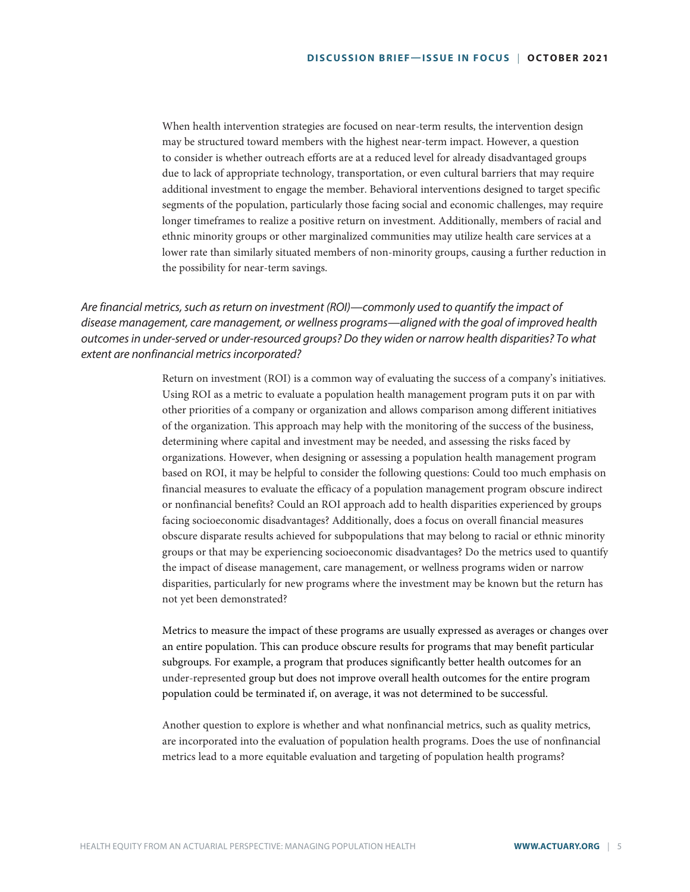When health intervention strategies are focused on near-term results, the intervention design may be structured toward members with the highest near-term impact. However, a question to consider is whether outreach efforts are at a reduced level for already disadvantaged groups due to lack of appropriate technology, transportation, or even cultural barriers that may require additional investment to engage the member. Behavioral interventions designed to target specific segments of the population, particularly those facing social and economic challenges, may require longer timeframes to realize a positive return on investment. Additionally, members of racial and ethnic minority groups or other marginalized communities may utilize health care services at a lower rate than similarly situated members of non-minority groups, causing a further reduction in the possibility for near-term savings.

## *Are financial metrics, such as return on investment (ROI)—commonly used to quantify the impact of disease management, care management, or wellness programs—aligned with the goal of improved health outcomes in under-served or under-resourced groups? Do they widen or narrow health disparities? To what extent are nonfinancial metrics incorporated?*

Return on investment (ROI) is a common way of evaluating the success of a company's initiatives. Using ROI as a metric to evaluate a population health management program puts it on par with other priorities of a company or organization and allows comparison among different initiatives of the organization. This approach may help with the monitoring of the success of the business, determining where capital and investment may be needed, and assessing the risks faced by organizations. However, when designing or assessing a population health management program based on ROI, it may be helpful to consider the following questions: Could too much emphasis on financial measures to evaluate the efficacy of a population management program obscure indirect or nonfinancial benefits? Could an ROI approach add to health disparities experienced by groups facing socioeconomic disadvantages? Additionally, does a focus on overall financial measures obscure disparate results achieved for subpopulations that may belong to racial or ethnic minority groups or that may be experiencing socioeconomic disadvantages? Do the metrics used to quantify the impact of disease management, care management, or wellness programs widen or narrow disparities, particularly for new programs where the investment may be known but the return has not yet been demonstrated?

Metrics to measure the impact of these programs are usually expressed as averages or changes over an entire population. This can produce obscure results for programs that may benefit particular subgroups. For example, a program that produces significantly better health outcomes for an under-represented group but does not improve overall health outcomes for the entire program population could be terminated if, on average, it was not determined to be successful.

Another question to explore is whether and what nonfinancial metrics, such as quality metrics, are incorporated into the evaluation of population health programs. Does the use of nonfinancial metrics lead to a more equitable evaluation and targeting of population health programs?